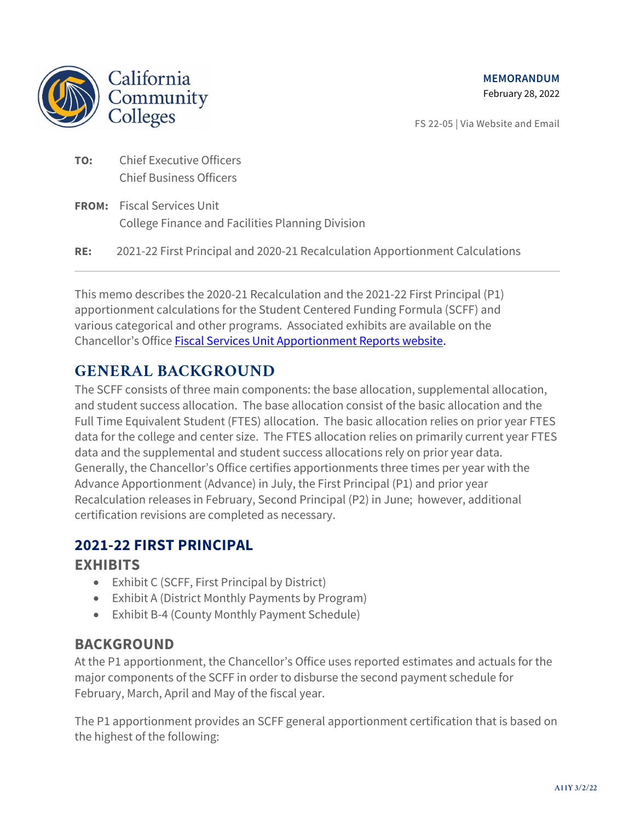

FS 22-05 | Via Website and Email

### **TO:** Chief Executive Officers Chief Business Officers

- **FROM:** Fiscal Services Unit College Finance and Facilities Planning Division
- **RE:** 2021-22 First Principal and 2020-21 Recalculation Apportionment Calculations

This memo describes the 2020-21 Recalculation and the 2021-22 First Principal (P1) apportionment calculations for the Student Centered Funding Formula (SCFF) and various categorical and other programs. Associated exhibits are available on the Chancellor's Office [Fiscal Services Unit Apportionment Reports website.](https://www.cccco.edu/About-Us/Chancellors-Office/Divisions/College-Finance-and-Facilities-Planning/Apportionment-Reports)

### **GENERAL BACKGROUND**

The SCFF consists of three main components: the base allocation, supplemental allocation, and student success allocation. The base allocation consist of the basic allocation and the Full Time Equivalent Student (FTES) allocation. The basic allocation relies on prior year FTES data for the college and center size. The FTES allocation relies on primarily current year FTES data and the supplemental and student success allocations rely on prior year data. Generally, the Chancellor's Office certifies apportionments three times per year with the Advance Apportionment (Advance) in July, the First Principal (P1) and prior year Recalculation releases in February, Second Principal (P2) in June; however, additional certification revisions are completed as necessary.

#### **2021-22 FIRST PRINCIPAL**

#### **EXHIBITS**

- Exhibit C (SCFF, First Principal by District)
- Exhibit A (District Monthly Payments by Program)
- Exhibit B-4 (County Monthly Payment Schedule)

#### **BACKGROUND**

At the P1 apportionment, the Chancellor's Office uses reported estimates and actuals for the major components of the SCFF in order to disburse the second payment schedule for February, March, April and May of the fiscal year.

The P1 apportionment provides an SCFF general apportionment certification that is based on the highest of the following: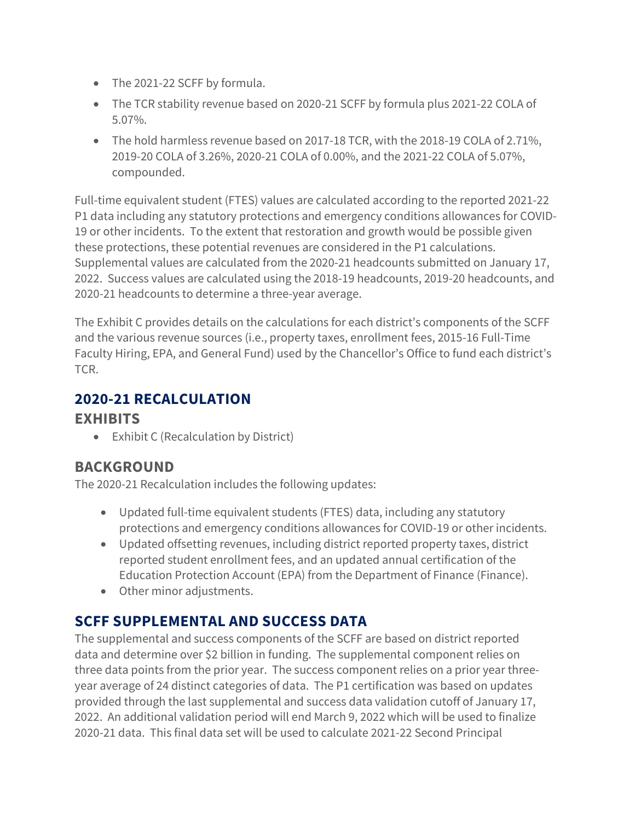- The 2021-22 SCFF by formula.
- The TCR stability revenue based on 2020-21 SCFF by formula plus 2021-22 COLA of 5.07%.
- The hold harmless revenue based on 2017-18 TCR, with the 2018-19 COLA of 2.71%, 2019-20 COLA of 3.26%, 2020-21 COLA of 0.00%, and the 2021-22 COLA of 5.07%, compounded.

Full-time equivalent student (FTES) values are calculated according to the reported 2021-22 P1 data including any statutory protections and emergency conditions allowances for COVID-19 or other incidents. To the extent that restoration and growth would be possible given these protections, these potential revenues are considered in the P1 calculations. Supplemental values are calculated from the 2020-21 headcounts submitted on January 17, 2022. Success values are calculated using the 2018-19 headcounts, 2019-20 headcounts, and 2020-21 headcounts to determine a three-year average.

The Exhibit C provides details on the calculations for each district's components of the SCFF and the various revenue sources (i.e., property taxes, enrollment fees, 2015-16 Full-Time Faculty Hiring, EPA, and General Fund) used by the Chancellor's Office to fund each district's TCR.

### **2020-21 RECALCULATION**

#### **EXHIBITS**

• Exhibit C (Recalculation by District)

### **BACKGROUND**

The 2020-21 Recalculation includes the following updates:

- Updated full-time equivalent students (FTES) data, including any statutory protections and emergency conditions allowances for COVID-19 or other incidents.
- Updated offsetting revenues, including district reported property taxes, district reported student enrollment fees, and an updated annual certification of the Education Protection Account (EPA) from the Department of Finance (Finance).
- Other minor adjustments.

## **SCFF SUPPLEMENTAL AND SUCCESS DATA**

The supplemental and success components of the SCFF are based on district reported data and determine over \$2 billion in funding. The supplemental component relies on three data points from the prior year. The success component relies on a prior year threeyear average of 24 distinct categories of data. The P1 certification was based on updates provided through the last supplemental and success data validation cutoff of January 17, 2022. An additional validation period will end March 9, 2022 which will be used to finalize 2020-21 data. This final data set will be used to calculate 2021-22 Second Principal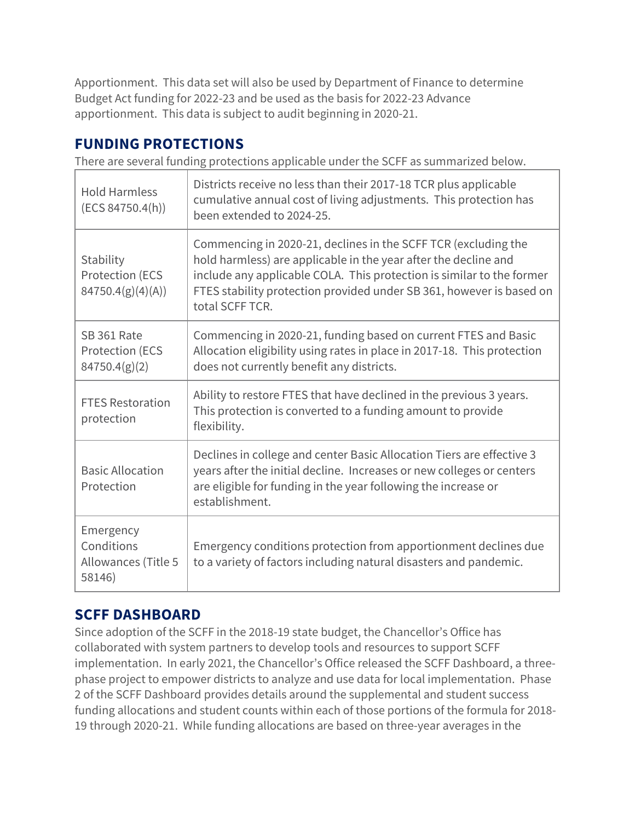Apportionment. This data set will also be used by Department of Finance to determine Budget Act funding for 2022-23 and be used as the basis for 2022-23 Advance apportionment. This data is subject to audit beginning in 2020-21.

# **FUNDING PROTECTIONS**

There are several funding protections applicable under the SCFF as summarized below.

| <b>Hold Harmless</b><br>(ECS 84750.4(h))                 | Districts receive no less than their 2017-18 TCR plus applicable<br>cumulative annual cost of living adjustments. This protection has<br>been extended to 2024-25.                                                                                                                                    |
|----------------------------------------------------------|-------------------------------------------------------------------------------------------------------------------------------------------------------------------------------------------------------------------------------------------------------------------------------------------------------|
| Stability<br><b>Protection (ECS</b><br>84750.4(g)(4)(A)) | Commencing in 2020-21, declines in the SCFF TCR (excluding the<br>hold harmless) are applicable in the year after the decline and<br>include any applicable COLA. This protection is similar to the former<br>FTES stability protection provided under SB 361, however is based on<br>total SCFF TCR. |
| SB 361 Rate<br><b>Protection (ECS</b><br>84750.4(g)(2)   | Commencing in 2020-21, funding based on current FTES and Basic<br>Allocation eligibility using rates in place in 2017-18. This protection<br>does not currently benefit any districts.                                                                                                                |
| <b>FTES Restoration</b><br>protection                    | Ability to restore FTES that have declined in the previous 3 years.<br>This protection is converted to a funding amount to provide<br>flexibility.                                                                                                                                                    |
| <b>Basic Allocation</b><br>Protection                    | Declines in college and center Basic Allocation Tiers are effective 3<br>years after the initial decline. Increases or new colleges or centers<br>are eligible for funding in the year following the increase or<br>establishment.                                                                    |
| Emergency<br>Conditions<br>Allowances (Title 5<br>58146) | Emergency conditions protection from apportionment declines due<br>to a variety of factors including natural disasters and pandemic.                                                                                                                                                                  |

# **SCFF DASHBOARD**

Since adoption of the SCFF in the 2018-19 state budget, the Chancellor's Office has collaborated with system partners to develop tools and resources to support SCFF implementation. In early 2021, the Chancellor's Office released the SCFF Dashboard, a threephase project to empower districts to analyze and use data for local implementation. Phase 2 of the SCFF Dashboard provides details around the supplemental and student success funding allocations and student counts within each of those portions of the formula for 2018- 19 through 2020-21. While funding allocations are based on three-year averages in the